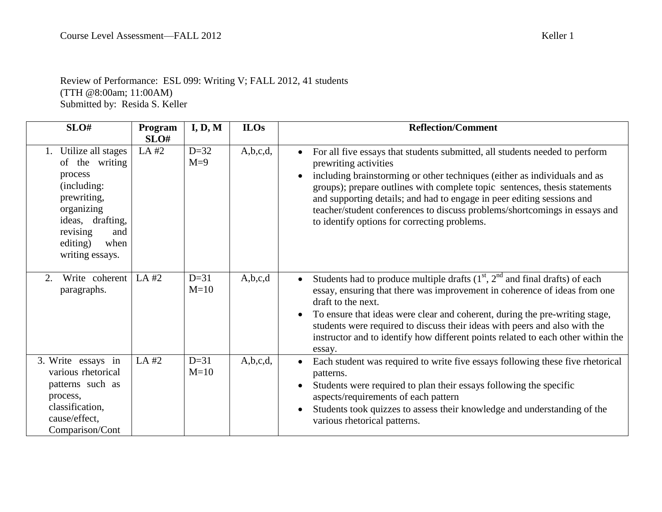## Review of Performance: ESL 099: Writing V; FALL 2012, 41 students (TTH @8:00am; 11:00AM) Submitted by: Resida S. Keller

| SLO#                                                                                                                                                                         | Program       | I, D, M          | <b>ILOs</b> | <b>Reflection/Comment</b>                                                                                                                                                                                                                                                                                                                                                                                                                                               |
|------------------------------------------------------------------------------------------------------------------------------------------------------------------------------|---------------|------------------|-------------|-------------------------------------------------------------------------------------------------------------------------------------------------------------------------------------------------------------------------------------------------------------------------------------------------------------------------------------------------------------------------------------------------------------------------------------------------------------------------|
| 1. Utilize all stages<br>of the writing<br>process<br>(including:<br>prewriting,<br>organizing<br>ideas, drafting,<br>revising<br>and<br>when<br>editing)<br>writing essays. | SLO#<br>LA #2 | $D=32$<br>$M=9$  | A,b,c,d,    | For all five essays that students submitted, all students needed to perform<br>prewriting activities<br>including brainstorming or other techniques (either as individuals and as<br>groups); prepare outlines with complete topic sentences, thesis statements<br>and supporting details; and had to engage in peer editing sessions and<br>teacher/student conferences to discuss problems/shortcomings in essays and<br>to identify options for correcting problems. |
| Write coherent<br>2.<br>paragraphs.                                                                                                                                          | LA#2          | $D=31$<br>$M=10$ | A,b,c,d     | Students had to produce multiple drafts $(1st, 2nd$ and final drafts) of each<br>essay, ensuring that there was improvement in coherence of ideas from one<br>draft to the next.<br>To ensure that ideas were clear and coherent, during the pre-writing stage,<br>students were required to discuss their ideas with peers and also with the<br>instructor and to identify how different points related to each other within the<br>essay.                             |
| 3. Write essays in<br>various rhetorical<br>patterns such as<br>process,<br>classification,<br>cause/effect,<br>Comparison/Cont                                              | LA #2         | $D=31$<br>$M=10$ | A,b,c,d,    | Each student was required to write five essays following these five rhetorical<br>patterns.<br>Students were required to plan their essays following the specific<br>aspects/requirements of each pattern<br>Students took quizzes to assess their knowledge and understanding of the<br>various rhetorical patterns.                                                                                                                                                   |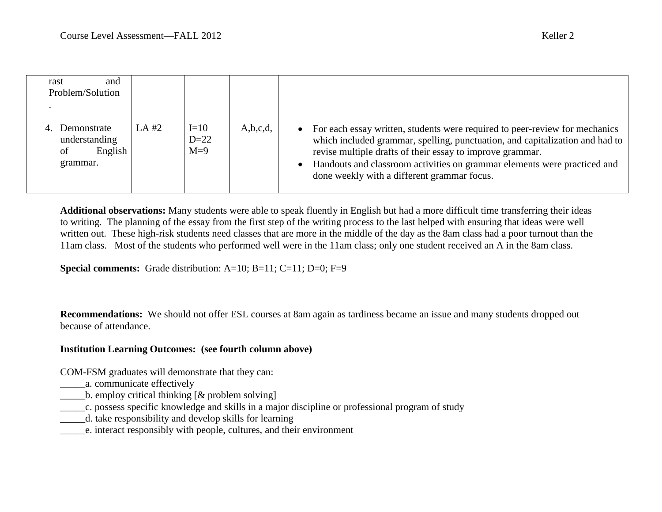| and<br>rast<br>Problem/Solution                           |       |                           |             |                                                                                                                                                                                                                                                                                                                                                       |
|-----------------------------------------------------------|-------|---------------------------|-------------|-------------------------------------------------------------------------------------------------------------------------------------------------------------------------------------------------------------------------------------------------------------------------------------------------------------------------------------------------------|
| Demonstrate<br>understanding<br>English<br>οf<br>grammar. | LA #2 | $I=10$<br>$D=22$<br>$M=9$ | A, b, c, d, | • For each essay written, students were required to peer-review for mechanics<br>which included grammar, spelling, punctuation, and capitalization and had to<br>revise multiple drafts of their essay to improve grammar.<br>Handouts and classroom activities on grammar elements were practiced and<br>done weekly with a different grammar focus. |

**Additional observations:** Many students were able to speak fluently in English but had a more difficult time transferring their ideas to writing. The planning of the essay from the first step of the writing process to the last helped with ensuring that ideas were well written out. These high-risk students need classes that are more in the middle of the day as the 8am class had a poor turnout than the 11am class. Most of the students who performed well were in the 11am class; only one student received an A in the 8am class.

**Special comments:** Grade distribution: A=10; B=11; C=11; D=0; F=9

**Recommendations:** We should not offer ESL courses at 8am again as tardiness became an issue and many students dropped out because of attendance.

## **Institution Learning Outcomes: (see fourth column above)**

COM-FSM graduates will demonstrate that they can:

- \_\_\_\_\_a. communicate effectively
- $\Box$  b. employ critical thinking  $[\&$  problem solving]
- \_\_\_\_\_c. possess specific knowledge and skills in a major discipline or professional program of study
- \_\_\_\_\_d. take responsibility and develop skills for learning
- \_\_\_\_\_e. interact responsibly with people, cultures, and their environment